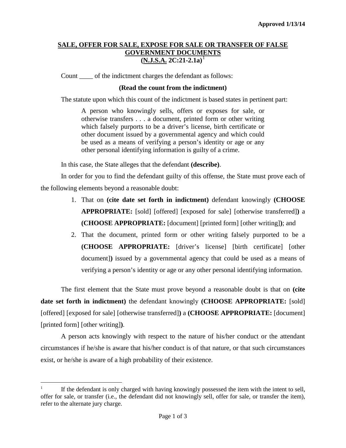## **SALE, OFFER FOR SALE, EXPOSE FOR SALE OR TRANSFER OF FALSE GOVERNMENT DOCUMENTS (N.J.S.A. 2C:21-2.1a)** [1](#page-0-0)

Count of the indictment charges the defendant as follows:

## **(Read the count from the indictment)**

The statute upon which this count of the indictment is based states in pertinent part:

A person who knowingly sells, offers or exposes for sale, or otherwise transfers . . . a document, printed form or other writing which falsely purports to be a driver's license, birth certificate or other document issued by a governmental agency and which could be used as a means of verifying a person's identity or age or any other personal identifying information is guilty of a crime.

In this case, the State alleges that the defendant **(describe)**.

In order for you to find the defendant guilty of this offense, the State must prove each of the following elements beyond a reasonable doubt:

- 1. That on **(cite date set forth in indictment)** defendant knowingly **(CHOOSE APPROPRIATE:** [sold] [offered] [exposed for sale] [otherwise transferred]**)** a **(CHOOSE APPROPRIATE:** [document] [printed form] [other writing]**)**; and
- 2. That the document, printed form or other writing falsely purported to be a **(CHOOSE APPROPRIATE:** [driver's license] [birth certificate] [other document]**)** issued by a governmental agency that could be used as a means of verifying a person's identity or age or any other personal identifying information.

The first element that the State must prove beyond a reasonable doubt is that on **(cite date set forth in indictment)** the defendant knowingly **(CHOOSE APPROPRIATE:** [sold] [offered] [exposed for sale] [otherwise transferred]**)** a **(CHOOSE APPROPRIATE:** [document] [printed form] [other writing]**)**.

A person acts knowingly with respect to the nature of his/her conduct or the attendant circumstances if he/she is aware that his/her conduct is of that nature, or that such circumstances exist, or he/she is aware of a high probability of their existence.

<span id="page-0-1"></span><span id="page-0-0"></span> $\frac{1}{1}$  If the defendant is only charged with having knowingly possessed the item with the intent to sell, offer for sale, or transfer (i.e., the defendant did not knowingly sell, offer for sale, or transfer the item), refer to the alternate jury charge.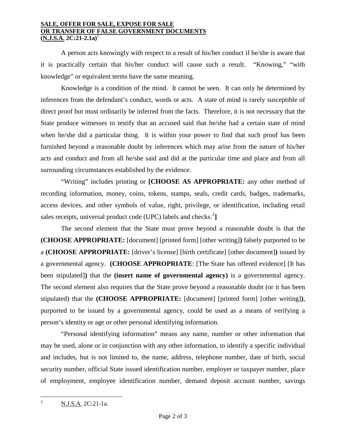## **SALE, OFFER FOR SALE, EXPOSE FOR SALE OR TRANSFER OF FALSE GOVERNMENT DOCUMENTS (N.J.S.A. 2C:21-2.1a)**<sup>1</sup>

A person acts knowingly with respect to a result of his/her conduct if he/she is aware that it is practically certain that his/her conduct will cause such a result. "Knowing," "with knowledge" or equivalent terms have the same meaning.

Knowledge is a condition of the mind. It cannot be seen. It can only be determined by inferences from the defendant's conduct, words or acts. A state of mind is rarely susceptible of direct proof but must ordinarily be inferred from the facts. Therefore, it is not necessary that the State produce witnesses to testify that an accused said that he/she had a certain state of mind when he/she did a particular thing. It is within your power to find that such proof has been furnished beyond a reasonable doubt by inferences which may arise from the nature of his/her acts and conduct and from all he/she said and did at the particular time and place and from all surrounding circumstances established by the evidence.

"Writing" includes printing or **[CHOOSE AS APPROPRIATE:** any other method of recording information, money, coins, tokens, stamps, seals, credit cards, badges, trademarks, access devices, and other symbols of value, right, privilege, or identification, including retail sales receipts, universal product code (UPC) labels and checks.<sup>[2](#page-0-1)</sup>]

The second element that the State must prove beyond a reasonable doubt is that the **(CHOOSE APPROPRIATE:** [document] [printed form] [other writing]**)** falsely purported to be a **(CHOOSE APPROPRIATE:** [driver's license] [birth certificate] [other document]**)** issued by a governmental agency. **(CHOOSE APPROPRIATE**: [The State has offered evidence] [It has been stipulated]**)** that the **(insert name of governmental agency)** is a governmental agency. The second element also requires that the State prove beyond a reasonable doubt (or it has been stipulated) that the **(CHOOSE APPROPRIATE:** [document] [printed form] [other writing]**)**, purported to be issued by a governmental agency, could be used as a means of verifying a person's identity or age or other personal identifying information.

"Personal identifying information" means any name, number or other information that may be used, alone or in conjunction with any other information, to identify a specific individual and includes, but is not limited to, the name, address, telephone number, date of birth, social security number, official State issued identification number, employer or taxpayer number, place of employment, employee identification number, demand deposit account number, savings

<span id="page-1-0"></span> $\frac{1}{2}$ <sup>2</sup> N.J.S.A. 2C:21-1a.